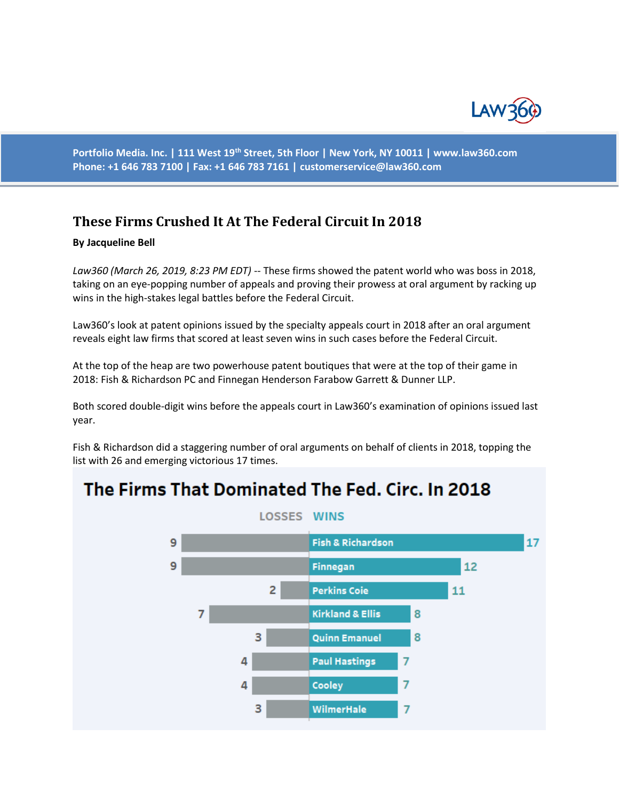

**Portfolio Media. Inc. | 111 West 19th Street, 5th Floor | New York, NY 10011 | www.law360.com Phone: +1 646 783 7100 | Fax: +1 646 783 7161 | [customerservice@law360.com](mailto:customerservice@law360.com)**

## **These Firms Crushed It At The Federal Circuit In 2018**

## **By Jacqueline Bell**

*Law360 (March 26, 2019, 8:23 PM EDT)* -- These firms showed the patent world who was boss in 2018, taking on an eye-popping number of appeals and proving their prowess at oral argument by racking up wins in the high-stakes legal battles before the Federal Circuit.

Law360's look at patent opinions issued by the specialty appeals court in 2018 after an oral argument reveals eight law firms that scored at least seven wins in such cases before the Federal Circuit.

At the top of the heap are two powerhouse patent boutiques that were at the top of their game in 2018: Fish & Richardson PC and Finnegan Henderson Farabow Garrett & Dunner LLP.

Both scored double-digit wins before the appeals court in Law360's examination of opinions issued last year.

Fish & Richardson did a staggering number of oral arguments on behalf of clients in 2018, topping the list with 26 and emerging victorious 17 times.

## The Firms That Dominated The Fed. Circ. In 2018

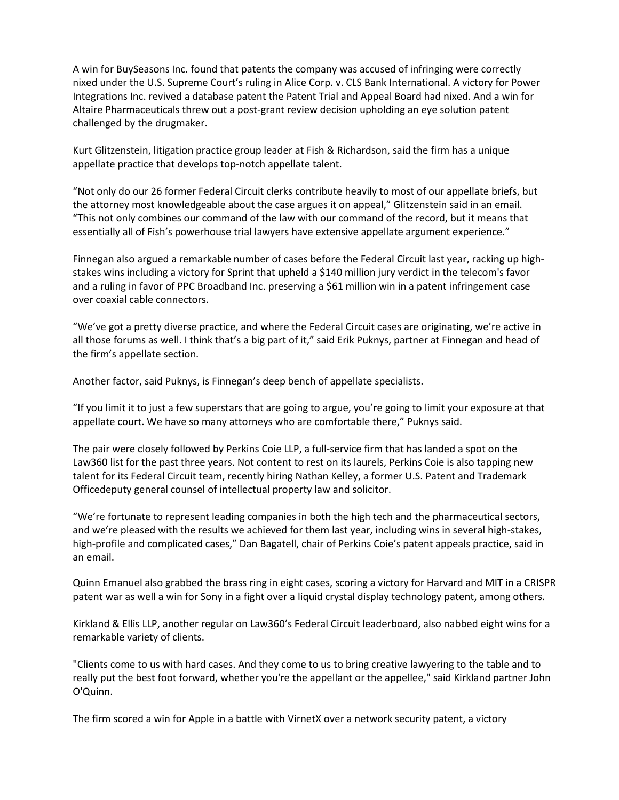A win for BuySeasons Inc. found that patents the company was accused of infringing were correctly nixed under the U.S. Supreme Court's ruling in Alice Corp. v. CLS Bank International. A victory for Power Integrations Inc. revived a database patent the Patent Trial and Appeal Board had nixed. And a win for Altaire Pharmaceuticals threw out a post-grant review decision upholding an eye solution patent challenged by the drugmaker.

Kurt Glitzenstein, litigation practice group leader at Fish & Richardson, said the firm has a unique appellate practice that develops top-notch appellate talent.

"Not only do our 26 former Federal Circuit clerks contribute heavily to most of our appellate briefs, but the attorney most knowledgeable about the case argues it on appeal," Glitzenstein said in an email. "This not only combines our command of the law with our command of the record, but it means that essentially all of Fish's powerhouse trial lawyers have extensive appellate argument experience."

Finnegan also argued a remarkable number of cases before the Federal Circuit last year, racking up highstakes wins including a victory for Sprint that upheld a \$140 million jury verdict in the telecom's favor and a ruling in favor of PPC Broadband Inc. preserving a \$61 million win in a patent infringement case over coaxial cable connectors.

"We've got a pretty diverse practice, and where the Federal Circuit cases are originating, we're active in all those forums as well. I think that's a big part of it," said Erik Puknys, partner at Finnegan and head of the firm's appellate section.

Another factor, said Puknys, is Finnegan's deep bench of appellate specialists.

"If you limit it to just a few superstars that are going to argue, you're going to limit your exposure at that appellate court. We have so many attorneys who are comfortable there," Puknys said.

The pair were closely followed by Perkins Coie LLP, a full-service firm that has landed a spot on the Law360 list for the past three years. Not content to rest on its laurels, Perkins Coie is also tapping new talent for its Federal Circuit team, recently hiring Nathan Kelley, a former U.S. Patent and Trademark Officedeputy general counsel of intellectual property law and solicitor.

"We're fortunate to represent leading companies in both the high tech and the pharmaceutical sectors, and we're pleased with the results we achieved for them last year, including wins in several high-stakes, high-profile and complicated cases," Dan Bagatell, chair of Perkins Coie's patent appeals practice, said in an email.

Quinn Emanuel also grabbed the brass ring in eight cases, scoring a victory for Harvard and MIT in a CRISPR patent war as well a win for Sony in a fight over a liquid crystal display technology patent, among others.

Kirkland & Ellis LLP, another regular on Law360's Federal Circuit leaderboard, also nabbed eight wins for a remarkable variety of clients.

"Clients come to us with hard cases. And they come to us to bring creative lawyering to the table and to really put the best foot forward, whether you're the appellant or the appellee," said Kirkland partner John O'Quinn.

The firm scored a win for Apple in a battle with VirnetX over a network security patent, a victory